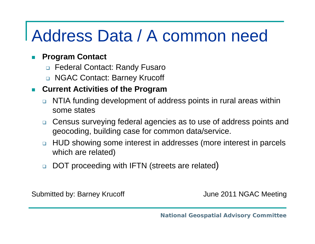# Address Data / A common need

#### $\mathcal{L}_{\mathcal{A}}$ **Program Contact**

- Federal Contact: Randy Fusaro
- NGAC Contact: Barney Krucoff

#### **Current Activities of the Program**

- □ NTIA funding development of address points in rural areas within some states
- □ Census surveying federal agencies as to use of address points and geocoding, building case for common data/service.
- $\Box$  HUD showing some interest in addresses (more interest in parcels which are related)
- $\Box$ □ DOT proceeding with IFTN (streets are related)

Submitted by: Barney Krucoff **Guarter Controllery** June 2011 NGAC Meeting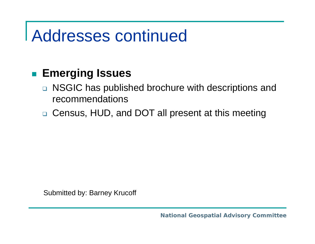## Addresses continued

#### **Emerging Issues**

- □ NSGIC has published brochure with descriptions and recommendations
- □ Census, HUD, and DOT all present at this meeting

Submitted by: Barney Krucoff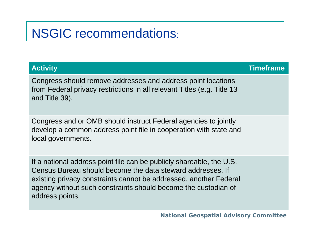## NSGIC recommendations:

| <b>Activity</b>                                                                                                                                                                                                                                                                              | <b>Timeframe</b> |
|----------------------------------------------------------------------------------------------------------------------------------------------------------------------------------------------------------------------------------------------------------------------------------------------|------------------|
| Congress should remove addresses and address point locations<br>from Federal privacy restrictions in all relevant Titles (e.g. Title 13<br>and Title 39).                                                                                                                                    |                  |
| Congress and or OMB should instruct Federal agencies to jointly<br>develop a common address point file in cooperation with state and<br>local governments.                                                                                                                                   |                  |
| If a national address point file can be publicly shareable, the U.S.<br>Census Bureau should become the data steward addresses. If<br>existing privacy constraints cannot be addressed, another Federal<br>agency without such constraints should become the custodian of<br>address points. |                  |

*National Geospatial Advisory Committee*